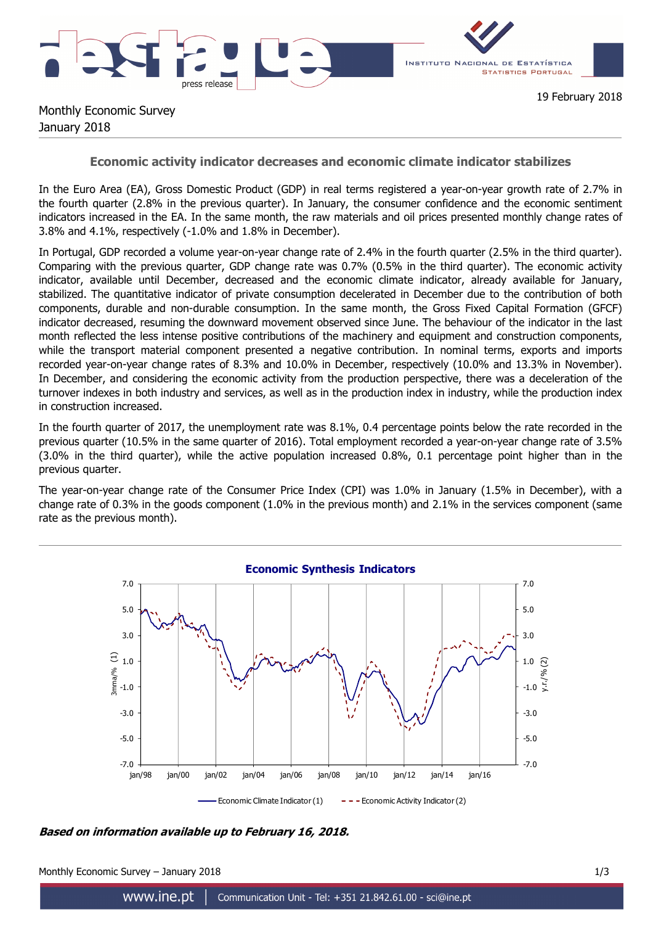



19 February 2018

## Monthly Economic Survey January 2018

## **Economic activity indicator decreases and economic climate indicator stabilizes**

In the Euro Area (EA), Gross Domestic Product (GDP) in real terms registered a year-on-year growth rate of 2.7% in the fourth quarter (2.8% in the previous quarter). In January, the consumer confidence and the economic sentiment indicators increased in the EA. In the same month, the raw materials and oil prices presented monthly change rates of 3.8% and 4.1%, respectively (-1.0% and 1.8% in December).

In Portugal, GDP recorded a volume year-on-year change rate of 2.4% in the fourth quarter (2.5% in the third quarter). Comparing with the previous quarter, GDP change rate was 0.7% (0.5% in the third quarter). The economic activity indicator, available until December, decreased and the economic climate indicator, already available for January, stabilized. The quantitative indicator of private consumption decelerated in December due to the contribution of both components, durable and non-durable consumption. In the same month, the Gross Fixed Capital Formation (GFCF) indicator decreased, resuming the downward movement observed since June. The behaviour of the indicator in the last month reflected the less intense positive contributions of the machinery and equipment and construction components, while the transport material component presented a negative contribution. In nominal terms, exports and imports recorded year-on-year change rates of 8.3% and 10.0% in December, respectively (10.0% and 13.3% in November). In December, and considering the economic activity from the production perspective, there was a deceleration of the turnover indexes in both industry and services, as well as in the production index in industry, while the production index in construction increased.

In the fourth quarter of 2017, the unemployment rate was 8.1%, 0.4 percentage points below the rate recorded in the previous quarter (10.5% in the same quarter of 2016). Total employment recorded a year-on-year change rate of 3.5% (3.0% in the third quarter), while the active population increased 0.8%, 0.1 percentage point higher than in the previous quarter.

The year-on-year change rate of the Consumer Price Index (CPI) was 1.0% in January (1.5% in December), with a change rate of 0.3% in the goods component (1.0% in the previous month) and 2.1% in the services component (same rate as the previous month).



**Based on information available up to February 16, 2018.** 

Monthly Economic Survey – January 2018 1/3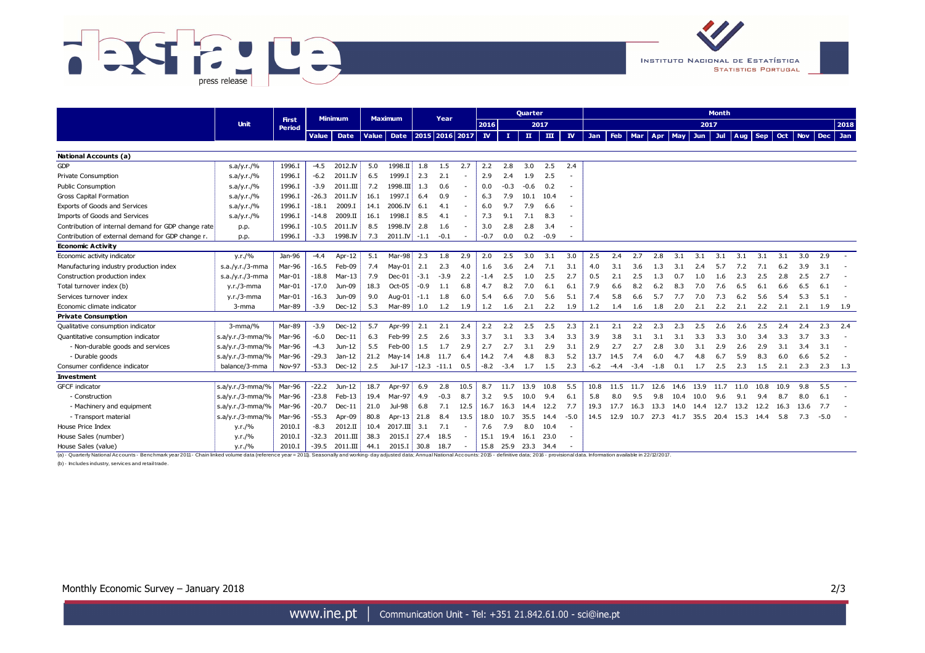



|                                                                                                                                                                                                                                | <b>Unit</b>           | <b>First</b>  | <b>Minimum</b> |                   | <b>Maximum</b> |                           | Year   |               |        |              | <b>Quarter</b> |           |              | <b>Month</b>             |        |        |             |      |             |            |            |      |      |      |           |        |           |
|--------------------------------------------------------------------------------------------------------------------------------------------------------------------------------------------------------------------------------|-----------------------|---------------|----------------|-------------------|----------------|---------------------------|--------|---------------|--------|--------------|----------------|-----------|--------------|--------------------------|--------|--------|-------------|------|-------------|------------|------------|------|------|------|-----------|--------|-----------|
|                                                                                                                                                                                                                                |                       | <b>Period</b> |                |                   |                |                           |        |               | 2016   |              | 2017           |           |              |                          |        |        |             |      |             |            | 2017       |      |      |      |           |        |           |
|                                                                                                                                                                                                                                |                       |               | <b>Value</b>   | Date              |                | Value Date 2015 2016 2017 |        |               |        | $\mathbf{N}$ | т.             | $\ $      | $\mathbf{m}$ | $\mathbf{I}$             | Jan    | Feb    | <b>Mar</b>  | Apr  | $ $ May $ $ | <b>Jun</b> | <b>Jul</b> | Aug  | Sep  |      | Oct   Nov |        | Dec Jan   |
|                                                                                                                                                                                                                                |                       |               |                |                   |                |                           |        |               |        |              |                |           |              |                          |        |        |             |      |             |            |            |      |      |      |           |        |           |
| National Accounts (a)                                                                                                                                                                                                          |                       |               |                |                   |                |                           |        |               |        |              |                |           |              |                          |        |        |             |      |             |            |            |      |      |      |           |        |           |
| <b>GDP</b>                                                                                                                                                                                                                     | s.a/y.r./%            | 1996.I        | $-4.5$         | 2012.IV           | 5.0            | 1998.II                   | 1.8    | 1.5           | 2.7    | 2.2          | 2.8            | 3.0       | 2.5          | 2.4                      |        |        |             |      |             |            |            |      |      |      |           |        |           |
| Private Consumption                                                                                                                                                                                                            | s.a/y.r./%            | 1996.I        | $-6.2$         | 2011.IV           | 6.5            | 1999.I                    | 2.3    | 2.1           |        | 2.9          | 2.4            | 1.9       | 2.5          | ٠                        |        |        |             |      |             |            |            |      |      |      |           |        |           |
| Public Consumption                                                                                                                                                                                                             | s.a/y.r./%            | 1996.I        | $-3.9$         | 2011.III          | 7.2            | $1998.\text{III}$         | 1.3    | 0.6           | $\sim$ | 0.0          | $-0.3$         | $-0.6$    | 0.2          | ٠                        |        |        |             |      |             |            |            |      |      |      |           |        |           |
| <b>Gross Capital Formation</b>                                                                                                                                                                                                 | s.a/y.r./%            | 1996.I        | $-26.3$        | 2011.IV           | 16.1           | 1997.I                    | 6.4    | 0.9           |        | 6.3          | 7.9            | 10.1      | 10.4         |                          |        |        |             |      |             |            |            |      |      |      |           |        |           |
| Exports of Goods and Services                                                                                                                                                                                                  | s.a/y.r./%            | 1996.I        | $-18.1$        | 2009.I            | 14.1           | 2006.IV                   | 6.1    | 4.1           | $\sim$ | 6.0          | 9.7            | 7.9       | 6.6          | ٠                        |        |        |             |      |             |            |            |      |      |      |           |        |           |
| Imports of Goods and Services                                                                                                                                                                                                  | s.a/y.r./%            | 1996.I        | $-14.8$        | 2009.II           | 16.1           | 1998.I                    | 8.5    | 4.1           | $\sim$ | 7.3          | 9.1            | 7.1       | 8.3          | ٠                        |        |        |             |      |             |            |            |      |      |      |           |        |           |
| Contribution of internal demand for GDP change rate                                                                                                                                                                            | p.p.                  | 1996.I        | $-10.5$        | 2011.IV           | 8.5            | 1998.IV                   | 2.8    | 1.6           | $\sim$ | 3.0          | 2.8            | 2.8       | 3.4          | ٠                        |        |        |             |      |             |            |            |      |      |      |           |        |           |
| Contribution of external demand for GDP change r.                                                                                                                                                                              | p.p.                  | 1996.I        | $-3.3$         | 1998.IV           | 7.3            | $2011$ . IV               | $-1.1$ | $-0.1$        | $\sim$ | $-0.7$       | 0.0            | 0.2       | $-0.9$       |                          |        |        |             |      |             |            |            |      |      |      |           |        |           |
| <b>Economic Activity</b>                                                                                                                                                                                                       |                       |               |                |                   |                |                           |        |               |        |              |                |           |              |                          |        |        |             |      |             |            |            |      |      |      |           |        |           |
| Economic activity indicator                                                                                                                                                                                                    | y.r./%                | Jan-96        | $-4.4$         | Apr-12            | 5.1            | Mar-98                    | 2.3    | 1.8           | 2.9    | 2.0          | 2.5            | 3.0       | 3.1          | 3.0                      | 2.5    | 2.4    | 2.7         | 2.8  | 3.1         | 3.1        | 3.1        | 3.1  | 3.1  | 3.1  | 3.0       | 2.9    |           |
| Manufacturing industry production index                                                                                                                                                                                        | $s.a./y.r./3-mma$     | Mar-96        | $-16.5$        | Feb-09            | 7.4            | May-01                    | 2.1    | 2.3           | 4.0    | 1.6          | 3.6            | 2.4       | 7.1          | 3.1                      | 4.0    | 3.1    | 3.6         | 1.3  | 3.1         | 2.4        | 5.7        | 7.2  | 7.1  | 6.2  | 3.9       | 3.1    |           |
| Construction production index                                                                                                                                                                                                  | $s.a./y.r./3-mma$     | Mar-01        | $-18.8$        | $Mar-13$          | 7.9            | $Dec-01$                  | $-3.1$ | $-3.9$        | 2.2    | $-1.4$       | 2.5            | 1.0       | 2.5          | 2.7                      | 0.5    | 2.1    | 2.5         | 1.3  | 0.7         | 1.0        | 1.6        | 2.3  | 2.5  | 2.8  | 2.5       | 2.7    |           |
| Total turnover index (b)                                                                                                                                                                                                       | $y.r./3$ -mma         | Mar-01        | $-17.0$        | Jun-09            | 18.3           | Oct-05                    | $-0.9$ | 1.1           | 6.8    | 4.7          | 8.2            | 7.0       | 6.1          | 6.1                      | 7.9    | 6.6    | 8.2         | 6.2  | 8.3         | 7.0        | 7.6        | 6.5  | 6.1  | 6.6  | 6.5       | 6.1    |           |
| Services turnover index                                                                                                                                                                                                        | $y.r./3$ -mma         | Mar-01        | $-16.3$        | Jun-09            | 9.0            | Aug-01                    | $-1.1$ | 1.8           | 6.0    | 5.4          | 6.6            | 7.0       | 5.6          | 5.1                      | 7.4    | 5.8    | 6.6         | 5.7  | 7.7         | 7.0        | 7.3        | 6.2  | 5.6  | 5.4  | 5.3       | 5.1    |           |
| Economic climate indicator                                                                                                                                                                                                     | 3-mma                 | Mar-89        | $-3.9$         | $Dec-12$          | 5.3            | Mar-89                    | 1.0    | 1.2           | 1.9    | 1.2          | 1.6            | 2.1       | 2.2          | 1.9                      | 1.2    | 1.4    | 1.6         | 1.8  | 2.0         | 2.1        | 2.2        | 2.1  | 2.2  | 2.1  | 2.1       | 1.9    | 1.9       |
| <b>Private Consumption</b>                                                                                                                                                                                                     |                       |               |                |                   |                |                           |        |               |        |              |                |           |              |                          |        |        |             |      |             |            |            |      |      |      |           |        |           |
| Qualitative consumption indicator                                                                                                                                                                                              | $3$ -mma/%            | Mar-89        | $-3.9$         | $Dec-12$          | 5.7            | Apr-99                    | 2.1    | 2.1           | 2.4    | 2.2          | 2.2            | 2.5       | 2.5          | 2.3                      | 2.1    | 2.1    | 2.2         | 2.3  | 2.3         | 2.5        | 2.6        | 2.6  | 2.5  | 2.4  | 2.4       | 2.3    | 2.4       |
| Quantitative consumption indicator                                                                                                                                                                                             | $ s.a/y.r./3-mma/\% $ | Mar-96        | $-6.0$         | $Dec-11$          | 6.3            | Feb-99                    | 2.5    | 2.6           | 3.3    | 3.7          | 3.1            | 3.3       | 3.4          | 3.3                      | 3.9    | 3.8    | 3.1         | 3.1  | 3.1         | 3.3        | 3.3        | 3.0  | 3.4  | 3.3  | 3.7       | 3.3    |           |
| - Non-durable goods and services                                                                                                                                                                                               | $s.a/y.r./3-mma/\%$   | Mar-96        | $-4.3$         | Jun-12            | 5.5            | Feb-00                    | 1.5    | 1.7           | 2.9    | 2.7          | 2.7            | 3.1       | 2.9          | 3.1                      | 2.9    | 2.7    | 2.7         | 2.8  | 3.0         | 3.1        | 2.9        | 2.6  | 2.9  | 3.1  | 3.4       | 3.1    |           |
| - Durable goods                                                                                                                                                                                                                | $ s.a/y.r./3-mma/\% $ | Mar-96        | $-29.3$        | Jan-12            | 21.2           | May-14                    | 14.8   | 11.7          | 6.4    | 14.2         | 7.4            | 4.8       | 8.3          | 5.2                      | 13.7   | 14.5   | 7.4         | 6.0  | 4.7         | 4.8        | 6.7        | 5.9  | 8.3  | 6.0  | 6.6       | 5.2    |           |
| Consumer confidence indicator                                                                                                                                                                                                  | balance/3-mma         | <b>Nov-97</b> | $-53.3$        | $Dec-12$          | 2.5            | Jul-17 $ $                |        | $-12.3 -11.1$ | 0.5    | $-8.2$       | $-3.4$         | 1.7       | 1.5          | 2.3                      | $-6.2$ | $-4.4$ | $-3.4 -1.8$ |      | 0.1         | 1.7        | 2.5        | 2.3  | 1.5  | 2.1  | 2.3       |        | $2.3$ 1.3 |
| <b>Investment</b>                                                                                                                                                                                                              |                       |               |                |                   |                |                           |        |               |        |              |                |           |              |                          |        |        |             |      |             |            |            |      |      |      |           |        |           |
| <b>GFCF</b> indicator                                                                                                                                                                                                          | $s.a/y.r./3-mma/\%$   | Mar-96        |                | $-22.2$ Jun-12    | 18.7           | Apr-97                    | 6.9    | 2.8           | 10.5   | 8.7          | 11.7           | 13.9      | 10.8         | 5.5                      | 10.8   | 11.5   | 11.7        | 12.6 | 14.6        | 13.9       | 11.7       | 11.0 | 10.8 | 10.9 | 9.8       | 5.5    |           |
| - Construction                                                                                                                                                                                                                 | $ s.a/y.r./3-mma/\% $ | Mar-96        | $-23.8$        | Feb-13            | 19.4           | Mar-97                    | 4.9    | $-0.3$        | 8.7    | 3.2          | 9.5            | 10.0      | 9.4          | 6.1                      | 5.8    | 8.0    | 9.5         | 9.8  | 10.4        | 10.0       | 9.6        | 9.1  | 9.4  | 8.7  | 8.0       | 6.1    |           |
| - Machinery and equipment                                                                                                                                                                                                      | $s.a/y.r./3-mma/\%$   | Mar-96        | $-20.7$        | $Dec-11$          | 21.0           | Jul-98                    | 6.8    | 7.1           | 12.5   | 16.7         | 16.3           | 14.4      | 12.2         | 7.7                      | 19.3   | 17.7   | 16.3        | 13.3 | 14.0        | 14.4       | 12.7       | 13.2 | 12.2 | 16.3 | 13.6      | 7.7    |           |
| - Transport material                                                                                                                                                                                                           | s.a/y.r./3-mma/%      | Mar-96        | $-55.3$        | Apr-09            | 80.8           | Apr- $13$                 | 21.8   | 8.4           | 13.5   | 18.0         | 10.7           | 35.5      | 14.4         | $-5.0$                   | 14.5   | 12.9   | 10.7        | 27.3 | 41.7        | 35.5       | 20.4       | 15.3 | 14.4 | 5.8  | 7.3       | $-5.0$ |           |
| House Price Index                                                                                                                                                                                                              | y.r./%                | 2010.I        | $-8.3$         | 2012.II           | 10.4           | $2017.$ III               | 3.1    | 7.1           | $\sim$ | 7.6          | 7.9            | 8.0       | 10.4         | $\overline{\phantom{a}}$ |        |        |             |      |             |            |            |      |      |      |           |        |           |
| House Sales (number)                                                                                                                                                                                                           | y.r./%                | 2010.I        | $-32.3$        | $2011.\text{III}$ | 38.3           | 2015.I                    | 27.4   | 18.5          | $\sim$ | 15.1         | 19.4           | 16.1 23.0 |              | $\overline{a}$           |        |        |             |      |             |            |            |      |      |      |           |        |           |
| House Sales (value)                                                                                                                                                                                                            | y.r./%                | 2010.I        | $-39.5$        | 2011.III          | 44.1           | 2015.I                    | $30.8$ | 18.7          | $\sim$ | 15.8         | 25.9 23.3 34.4 |           |              |                          |        |        |             |      |             |            |            |      |      |      |           |        |           |
| (a) - Quarterly National Accounts - Benchmark year 2011 - Chain linked yolume data (reference year = 2011). Seasonally and working-day adjusted data: Annual National Accounts: 2015 - definitive data: 2016 - provisional dat |                       |               |                |                   |                |                           |        |               |        |              |                |           |              |                          |        |        |             |      |             |            |            |      |      |      |           |        |           |

(b) - Includes industry, services and retail trade.